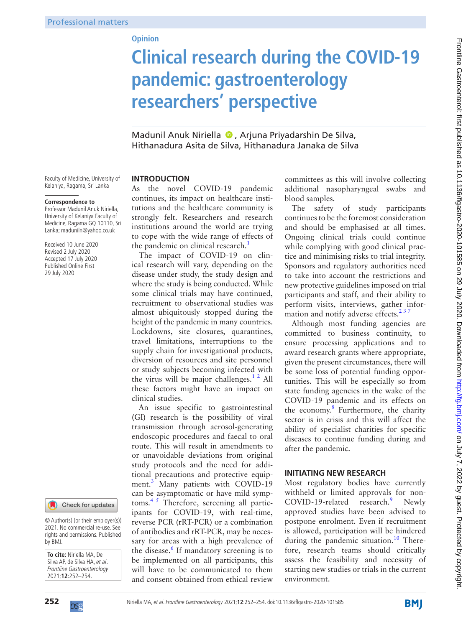## **Opinion**

# **Clinical research during the COVID-19 pandemic: gastroenterology researchers' perspective**

Madunil Anuk Niriella <sup>®</sup>, Arjuna Priyadarshin De Silva, Hithanadura Asita de Silva, Hithanadura Janaka de Silva

Faculty of Medicine, University of Kelaniya, Ragama, Sri Lanka

#### **Correspondence to**

Professor Madunil Anuk Niriella, University of Kelaniya Faculty of Medicine, Ragama GQ 10110, Sri Lanka; maduniln@yahoo.co.uk

Received 10 June 2020 Revised 2 July 2020 Accepted 17 July 2020 Published Online First 29 July 2020



© Author(s) (or their employer(s)) 2021. No commercial re-use. See rights and permissions. Published by BMJ.

**To cite:** Niriella MA, De Silva AP, de Silva HA, et al. Frontline Gastroenterology 2021;**12**:252–254.

#### **INTRODUCTION**

As the novel COVID-19 pandemic continues, its impact on healthcare institutions and the healthcare community is strongly felt. Researchers and research institutions around the world are trying to cope with the wide range of effects of the pandemic on clinical research.<sup>1</sup>

The impact of COVID-19 on clinical research will vary, depending on the disease under study, the study design and where the study is being conducted. While some clinical trials may have continued, recruitment to observational studies was almost ubiquitously stopped during the height of the pandemic in many countries. Lockdowns, site closures, quarantines, travel limitations, interruptions to the supply chain for investigational products, diversion of resources and site personnel or study subjects becoming infected with the virus will be major challenges.<sup>12</sup> All these factors might have an impact on clinical studies.

An issue specific to gastrointestinal (GI) research is the possibility of viral transmission through aerosol-generating endoscopic procedures and faecal to oral route. This will result in amendments to or unavoidable deviations from original study protocols and the need for additional precautions and protective equip-ment.<sup>[3](#page-2-1)</sup> Many patients with COVID-19 can be asymptomatic or have mild symptoms.<sup>45</sup> Therefore, screening all participants for COVID-19, with real-time, reverse PCR (rRT-PCR) or a combination of antibodies and rRT-PCR, may be necessary for areas with a high prevalence of the disease.<sup>[6](#page-2-3)</sup> If mandatory screening is to be implemented on all participants, this will have to be communicated to them and consent obtained from ethical review

committees as this will involve collecting additional nasopharyngeal swabs and blood samples.

The safety of study participants continues to be the foremost consideration and should be emphasised at all times. Ongoing clinical trials could continue while complying with good clinical practice and minimising risks to trial integrity. Sponsors and regulatory authorities need to take into account the restrictions and new protective guidelines imposed on trial participants and staff, and their ability to perform visits, interviews, gather information and notify adverse effects. $237$ 

Although most funding agencies are committed to business continuity, to ensure processing applications and to award research grants where appropriate, given the present circumstances, there will be some loss of potential funding opportunities. This will be especially so from state funding agencies in the wake of the COVID-19 pandemic and its effects on the economy.<sup>8</sup> Furthermore, the charity sector is in crisis and this will affect the ability of specialist charities for specific diseases to continue funding during and after the pandemic.

## **INITIATING NEW RESEARCH**

Most regulatory bodies have currently withheld or limited approvals for non-COVID-1[9](#page-2-6)-related research.<sup>9</sup> Newly approved studies have been advised to postpone enrolment. Even if recruitment is allowed, participation will be hindered during the pandemic situation.<sup>[10](#page-2-7)</sup> Therefore, research teams should critically assess the feasibility and necessity of starting new studies or trials in the current environment.



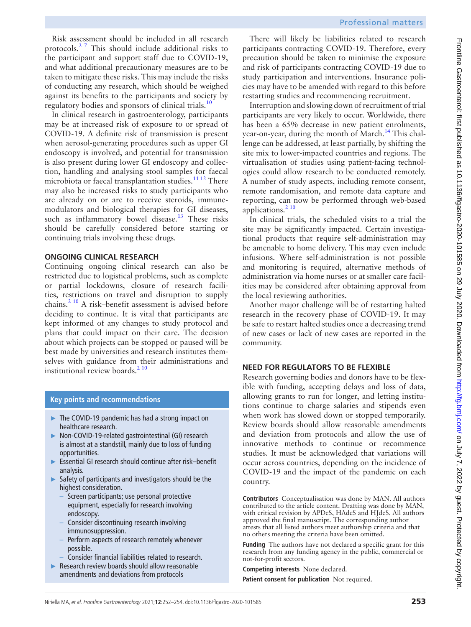Risk assessment should be included in all research protocols.<sup>[2 7](#page-2-4)</sup> This should include additional risks to the participant and support staff due to COVID-19, and what additional precautionary measures are to be taken to mitigate these risks. This may include the risks of conducting any research, which should be weighed against its benefits to the participants and society by regulatory bodies and sponsors of clinical trials.<sup>[10](#page-2-7)</sup>

In clinical research in gastroenterology, participants may be at increased risk of exposure to or spread of COVID-19. A definite risk of transmission is present when aerosol-generating procedures such as upper GI endoscopy is involved, and potential for transmission is also present during lower GI endoscopy and collection, handling and analysing stool samples for faecal microbiota or faecal transplantation studies.<sup>11 12</sup> There may also be increased risks to study participants who are already on or are to receive steroids, immunemodulators and biological therapies for GI diseases, such as inflammatory bowel disease.<sup>13</sup> These risks should be carefully considered before starting or continuing trials involving these drugs.

## **ONGOING CLINICAL RESEARCH**

Continuing ongoing clinical research can also be restricted due to logistical problems, such as complete or partial lockdowns, closure of research facilities, restrictions on travel and disruption to supply chains[.2 10](#page-2-4) A risk–benefit assessment is advised before deciding to continue. It is vital that participants are kept informed of any changes to study protocol and plans that could impact on their care. The decision about which projects can be stopped or paused will be best made by universities and research institutes themselves with guidance from their administrations and institutional review boards. $2^{10}$ 

# **Key points and recommendations**

- ► The COVID-19 pandemic has had a strong impact on healthcare research.
- ► Non-COVID-19-related gastrointestinal (GI) research is almost at a standstill, mainly due to loss of funding opportunities.
- ► Essential GI research should continue after risk–benefit analysis.
- ► Safety of participants and investigators should be the highest consideration.
	- Screen participants; use personal protective equipment, especially for research involving endoscopy.
	- Consider discontinuing research involving immunosuppression.
	- Perform aspects of research remotely whenever possible.
	- Consider financial liabilities related to research.
- ► Research review boards should allow reasonable amendments and deviations from protocols

There will likely be liabilities related to research participants contracting COVID-19. Therefore, every precaution should be taken to minimise the exposure and risk of participants contracting COVID-19 due to study participation and interventions. Insurance policies may have to be amended with regard to this before restarting studies and recommencing recruitment.

Interruption and slowing down of recruitment of trial participants are very likely to occur. Worldwide, there has been a 65% decrease in new patient enrolments, year-on-year, during the month of March.<sup>14</sup> This challenge can be addressed, at least partially, by shifting the site mix to lower-impacted countries and regions. The virtualisation of studies using patient-facing technologies could allow research to be conducted remotely. A number of study aspects, including remote consent, remote randomisation, and remote data capture and reporting, can now be performed through web-based applications. $210$ 

In clinical trials, the scheduled visits to a trial the site may be significantly impacted. Certain investigational products that require self-administration may be amenable to home delivery. This may even include infusions. Where self-administration is not possible and monitoring is required, alternative methods of administration via home nurses or at smaller care facilities may be considered after obtaining approval from the local reviewing authorities.

Another major challenge will be of restarting halted research in the recovery phase of COVID-19. It may be safe to restart halted studies once a decreasing trend of new cases or lack of new cases are reported in the community.

# **NEED FOR REGULATORS TO BE FLEXIBLE**

Research governing bodies and donors have to be flexible with funding, accepting delays and loss of data, allowing grants to run for longer, and letting institutions continue to charge salaries and stipends even when work has slowed down or stopped temporarily. Review boards should allow reasonable amendments and deviation from protocols and allow the use of innovative methods to continue or recommence studies. It must be acknowledged that variations will occur across countries, depending on the incidence of COVID-19 and the impact of the pandemic on each country.

**Contributors** Conceptualisation was done by MAN. All authors contributed to the article content. Drafting was done by MAN, with critical revision by APDeS, HAdeS and HJdeS. All authors approved the final manuscript. The corresponding author attests that all listed authors meet authorship criteria and that no others meeting the criteria have been omitted.

**Funding** The authors have not declared a specific grant for this research from any funding agency in the public, commercial or not-for-profit sectors.

**Competing interests** None declared.

**Patient consent for publication** Not required.